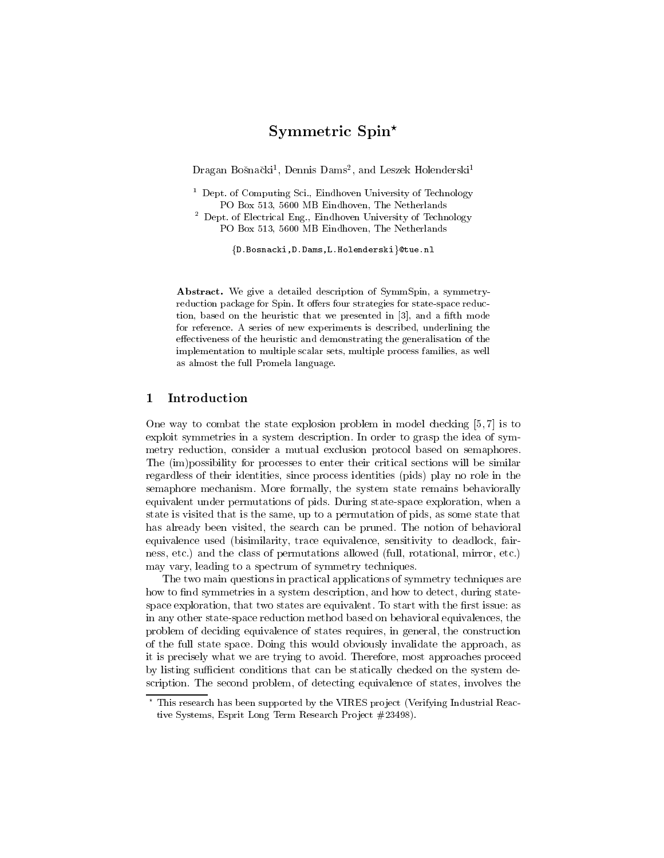# Symmetric Spin?

Dragan Dosnacki, Dennis Dams, and Leszek Holenderski

1 Dept. of Computing Sci., Eindhoven University of Technology PO Box 513, 5600 MB Eindhoven, The Netherlands

2 Dept. of Electrical Eng., Eindhoven University of Technology PO Box 513, 5600 MB Eindhoven, The Netherlands

 ${D.Bosnacki,D.Dams,L.Holenderski}$ @tue.nl

Abstract. We give a detailed description of SymmSpin, a symmetryreduction package for Spin. It offers four strategies for state-space reduction, based on the heuristic that we presented in [3], and a fifth mode for reference. A series of new experiments is described, underlining the effectiveness of the heuristic and demonstrating the generalisation of the implementation to multiple scalar sets, multiple process families, as well as almost the full Promela language.

### 1Introduction

One way to combat the state explosion problem in model checking [5, 7] is to exploit symmetries in a system description. In order to grasp the idea of symmetry reduction, consider a mutual exclusion protocol based on semaphores. The (im)possibility for processes to enter their critical sections will be similar regardless of their identities, since process identities (pids) play no role in the semaphore mechanism. More formally, the system state remains behaviorally equivalent under permutations of pids. During state-space exploration, when a state is visited that is the same, up to a permutation of pids, as some state that has already been visited, the search can be pruned. The notion of behavioral equivalence used (bisimilarity, trace equivalence, sensitivity to deadlock, fairness, etc.) and the class of permutations allowed (full, rotational, mirror, etc.) may vary, leading to a spectrum of symmetry techniques.

The two main questions in practical applications of symmetry techniques are how to find symmetries in a system description, and how to detect, during statespace exploration, that two states are equivalent. To start with the first issue: as in any other state-space reduction method based on behavioral equivalences, the problem of deciding equivalence of states requires, in general, the construction of the full state space. Doing this would obviously invalidate the approach, as it is precisely what we are trying to avoid. Therefore, most approaches proceed by listing sufficient conditions that can be statically checked on the system description. The second problem, of detecting equivalence of states, involves the

<sup>?</sup> This research has been supported by the VIRES pro ject (Verifying Industrial Reactive Systems, Esprit Long Term Research Project #23498).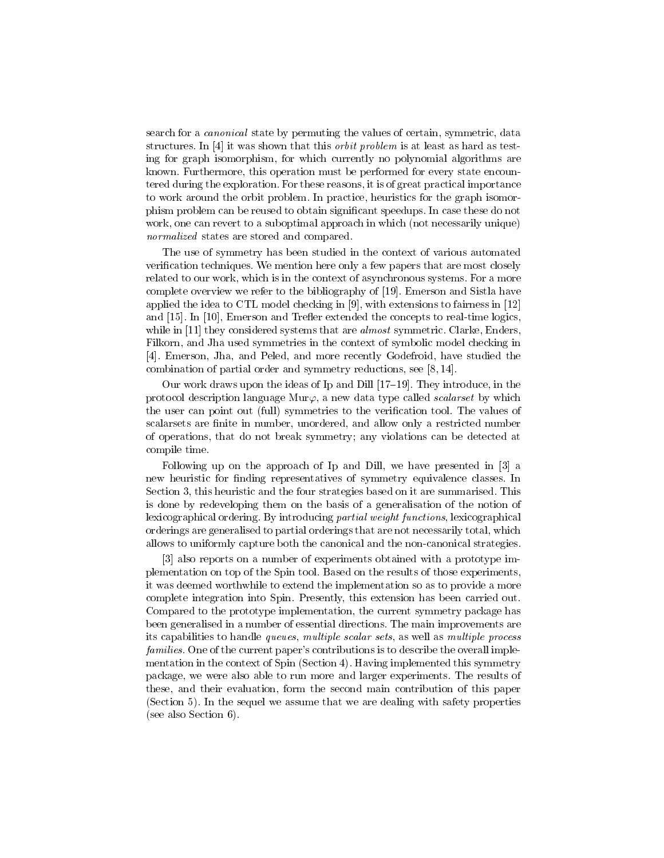search for a *canonical* state by permuting the values of certain, symmetric, data structures. In  $[4]$  it was shown that this *orbit problem* is at least as hard as testing for graph isomorphism, for which currently no polynomial algorithms are known. Furthermore, this operation must be performed for every state encountered during the exploration. For these reasons, it is of great practical importance to work around the orbit problem. In practice, heuristics for the graph isomorphism problem can be reused to obtain signicant speedups. In case these do not work, one can revert to a suboptimal approach in which (not necessarily unique) normalized states are stored and compared.

The use of symmetry has been studied in the context of various automated verification techniques. We mention here only a few papers that are most closely related to our work, which is in the context of asynchronous systems. For a more complete overview we refer to the bibliography of [19]. Emerson and Sistla have applied the idea to CTL model checking in [9], with extensions to fairness in [12] and  $[15]$ . In  $[10]$ , Emerson and Trefler extended the concepts to real-time logics, while in [11] they considered systems that are *almost* symmetric. Clarke, Enders, Filkorn, and Jha used symmetries in the context of symbolic model checking in [4]. Emerson, Jha, and Peled, and more recently Godefroid, have studied the combination of partial order and symmetry reductions, see [8, 14].

Our work draws upon the ideas of Ip and Dill  $[17–19]$ . They introduce, in the protocol description language Mur $\varphi$ , a new data type called *scalarset* by which the user can point out (full) symmetries to the verification tool. The values of scalarsets are finite in number, unordered, and allow only a restricted number of operations, that do not break symmetry; any violations can be detected at compile time.

Following up on the approach of Ip and Dill, we have presented in [3] a new heuristic for finding representatives of symmetry equivalence classes. In Section 3, this heuristic and the four strategies based on it are summarised. This is done by redeveloping them on the basis of a generalisation of the notion of lexicographical ordering. By introducing partial weight functions, lexicographical orderings are generalised to partial orderings that are not necessarily total, which allows to uniformly capture both the canonical and the non-canonical strategies.

[3] also reports on a number of experiments obtained with a prototype implementation on top of the Spin tool. Based on the results of those experiments, it was deemed worthwhile to extend the implementation so as to provide a more complete integration into Spin. Presently, this extension has been carried out. Compared to the prototype implementation, the current symmetry package has been generalised in a number of essential directions. The main improvements are its capabilities to handle queues, multiple scalar sets, as well as multiple process families. One of the current paper's contributions is to describe the overall implementation in the context of Spin (Section 4). Having implemented this symmetry package, we were also able to run more and larger experiments. The results of these, and their evaluation, form the second main contribution of this paper (Section 5). In the sequel we assume that we are dealing with safety properties (see also Section 6).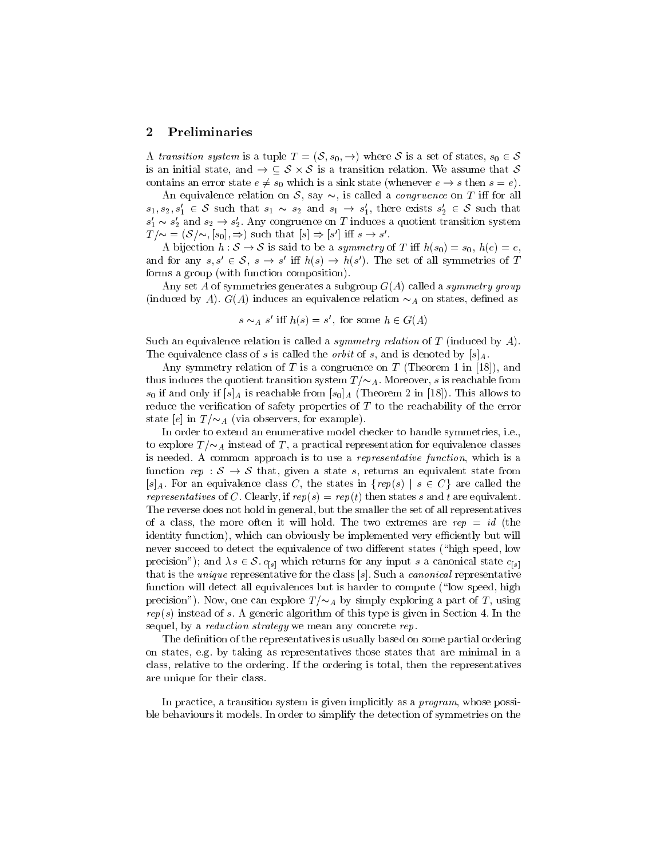#### 2Preliminaries

A transition system is a tuple  $T = (\mathcal{S}, s_0, \to)$  where  $\mathcal{S}$  is a set of states,  $s_0 \in \mathcal{S}$ is an initial state, and  $\rightarrow \subseteq \mathcal{S} \times \mathcal{S}$  is a transition relation. We assume that  $\mathcal{S}$ contains an error state  $e \neq s_0$  which is a sink state (whenever  $e \rightarrow s$  then  $s = e$ ).

An equivalence relation on S, say  $\sim$ , is called a *congruence* on T iff for all  $s_1, s_2, s'_1 \in S$  such that  $s_1 \sim s_2$  and  $s_1 \to s'_1$ , there exists  $s'_2 \in S$  such that  $s_1' \thicksim s_2'$  and  $s_2 \to s_2'.$  Any congruence on T induces a quotient transition system  $T/\sim = (\mathcal{S}/\sim, [s_0], \Rightarrow)$  such that  $[s] \Rightarrow [s']$  iff  $s \to s'$ .

A bijection  $h : S \to S$  is said to be a symmetry of T iff  $h(s_0) = s_0, h(e) = e$ , and for any  $s, s' \in S$ ,  $s \to s'$  iff  $h(s) \to h(s')$ . The set of all symmetries of T forms a group (with function composition).

Any set A of symmetries generates a subgroup  $G(A)$  called a symmetry group (induced by A).  $G(A)$  induces an equivalence relation  $\sim_A$  on states, defined as

$$
s \sim_A s'
$$
 iff  $h(s) = s'$ , for some  $h \in G(A)$ 

Such an equivalence relation is called a *symmetry relation* of  $T$  (induced by  $A$ ). The equivalence class of s is called the *orbit* of s, and is denoted by  $[s]_A$ .

Any symmetry relation of T is a congruence on T (Theorem 1 in [18]), and thus induces the quotient transition system  $T/\sim_A$ . Moreover, s is reachable from  $s_0$  if and only if  $[s]_A$  is reachable from  $[s_0]_A$  (Theorem 2 in [18]). This allows to reduce the verification of safety properties of  $T$  to the reachability of the error state [e] in  $T/\sim_A$  (via observers, for example).

In order to extend an enumerative model checker to handle symmetries, i.e., to explore  $T/\sim_A$  instead of T, a practical representation for equivalence classes is needed. A common approach is to use a *representative function*, which is a function rep :  $S \rightarrow S$  that, given a state s, returns an equivalent state from  $[s]_A$ . For an equivalence class C, the states in  $\{rep(s) | s \in C\}$  are called the representatives of C. Clearly, if rep(s) = rep(t) then states s and t are equivalent. The reverse does not hold in general, but the smaller the set of all representatives of a class, the more often it will hold. The two extremes are  $rep = id$  (the identity function), which can obviously be implemented very efficiently but will never succeed to detect the equivalence of two different states ("high speed, low precision"); and  $\lambda s \in S$ .  $c_{[s]}$  which returns for any input s a canonical state  $c_{[s]}$ that is the *unique* representative for the class [s]. Such a *canonical* representative function will detect all equivalences but is harder to compute ("low speed, high precision"). Now, one can explore  $T/\sim_A$  by simply exploring a part of T, using  $rep(s)$  instead of s. A generic algorithm of this type is given in Section 4. In the sequel, by a *reduction strategy* we mean any concrete rep.

The definition of the representatives is usually based on some partial ordering on states, e.g. by taking as representatives those states that are minimal in a class, relative to the ordering. If the ordering is total, then the representatives are unique for their class.

In practice, a transition system is given implicitly as a *program*, whose possible behaviours it models. In order to simplify the detection of symmetries on the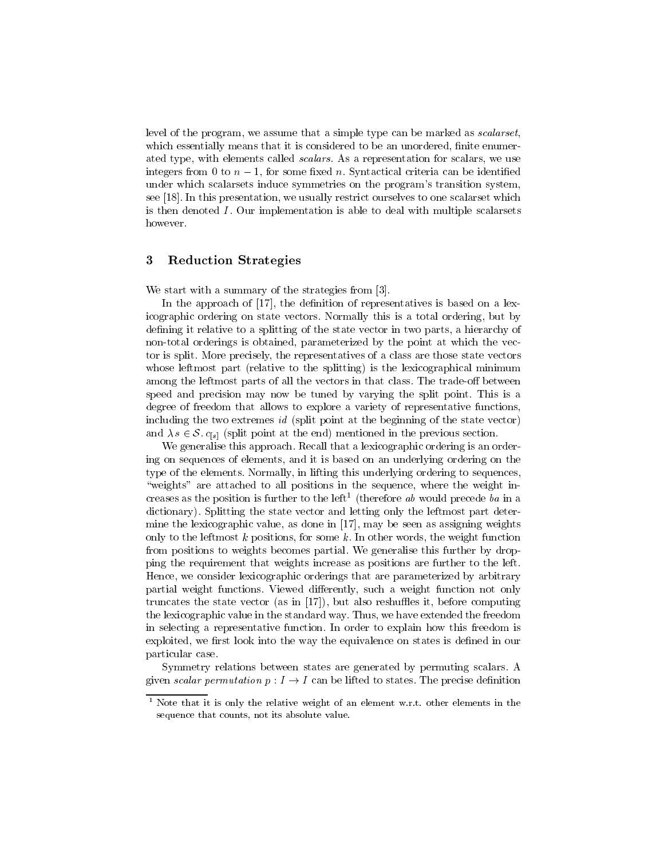level of the program, we assume that a simple type can be marked as scalarset, which essentially means that it is considered to be an unordered, finite enumerated type, with elements called scalars. As a representation for scalars, we use integers from 0 to  $n-1$ , for some fixed n. Syntactical criteria can be identified under which scalarsets induce symmetries on the program's transition system, see [18]. In this presentation, we usually restrict ourselves to one scalarset which is then denoted  $I$ . Our implementation is able to deal with multiple scalarsets however.

#### 3Reduction Strategies

We start with a summary of the strategies from [3].

In the approach of  $[17]$ , the definition of representatives is based on a lexicographic ordering on state vectors. Normally this is a total ordering, but by defining it relative to a splitting of the state vector in two parts, a hierarchy of non-total orderings is obtained, parameterized by the point at which the vector is split. More precisely, the representatives of a class are those state vectors whose leftmost part (relative to the splitting) is the lexicographical minimum among the leftmost parts of all the vectors in that class. The trade-off between speed and precision may now be tuned by varying the split point. This is a degree of freedom that allows to explore a variety of representative functions, including the two extremes id (split point at the beginning of the state vector) and  $\lambda s \in S$ .  $c_{[s]}$  (split point at the end) mentioned in the previous section.

We generalise this approach. Recall that a lexicographic ordering is an ordering on sequences of elements, and it is based on an underlying ordering on the type of the elements. Normally, in lifting this underlying ordering to sequences, "weights" are attached to all positions in the sequence, where the weight increases as the position is further to the left<sup>-</sup> (therefore *ab* would precede *ba* in a dictionary). Splitting the state vector and letting only the leftmost part determine the lexicographic value, as done in [17], may be seen as assigning weights only to the leftmost k positions, for some k. In other words, the weight function from positions to weights becomes partial. We generalise this further by dropping the requirement that weights increase as positions are further to the left. Hence, we consider lexicographic orderings that are parameterized by arbitrary partial weight functions. Viewed differently, such a weight function not only truncates the state vector (as in  $[17]$ ), but also reshuffles it, before computing the lexicographic value in the standard way. Thus, we have extended the freedom in selecting a representative function. In order to explain how this freedom is exploited, we first look into the way the equivalence on states is defined in our particular case.

Symmetry relations between states are generated by permuting scalars. A given scalar permutation  $p: I \to I$  can be lifted to states. The precise definition

<sup>1</sup> Note that it is only the relative weight of an element w.r.t. other elements in the sequence that counts, not its absolute value.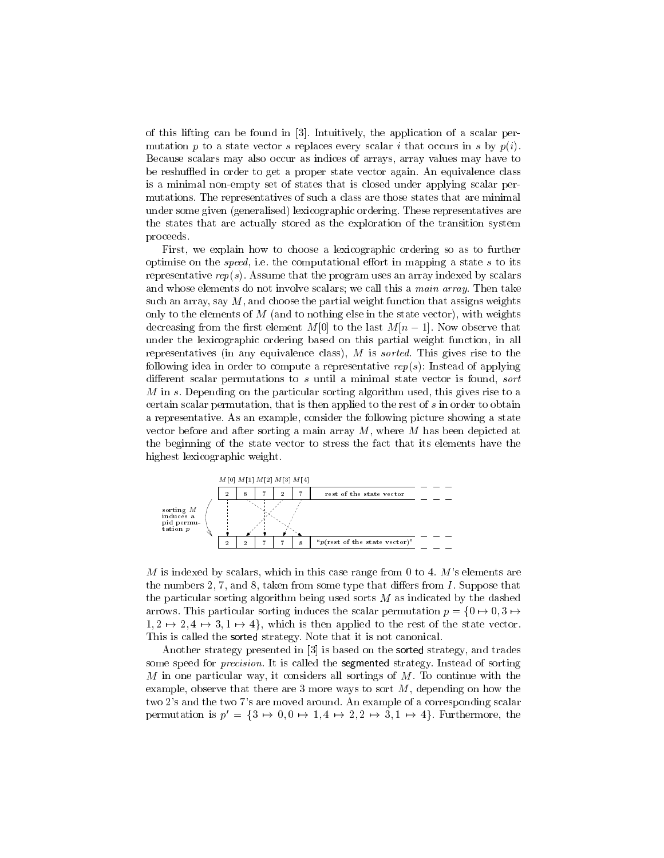of this lifting can be found in [3]. Intuitively, the application of a scalar per mutation p to a state vector s replaces every scalar i that occurs in s by  $p(i)$ . Because scalars may also occur as indices of arrays, array values may have to be reshuffled in order to get a proper state vector again. An equivalence class is a minimal non-empty set of states that is closed under applying scalar per mutations. The representatives of such a class are those states that are minimal under some given (generalised) lexicographic ordering. These representatives are the states that are actually stored as the exploration of the transition system proceeds.

First, we explain how to choose a lexicographic ordering so as to further optimise on the *speed*, i.e. the computational effort in mapping a state s to its representative  $rep(s)$ . Assume that the program uses an array indexed by scalars and whose elements do not involve scalars; we call this a *main array*. Then take such an array, say  $M$ , and choose the partial weight function that assigns weights only to the elements of  $M$  (and to nothing else in the state vector), with weights decreasing from the first element  $M[0]$  to the last  $M[n-1]$ . Now observe that under the lexicographic ordering based on this partial weight function, in all representatives (in any equivalence class),  $M$  is sorted. This gives rise to the following idea in order to compute a representative  $rep(s)$ : Instead of applying different scalar permutations to  $s$  until a minimal state vector is found, sort  $M$  in s. Depending on the particular sorting algorithm used, this gives rise to a certain scalar permutation, that is then applied to the rest of s in order to obtain a representative. As an example, consider the following picture showing a state vector before and after sorting a main array  $M$ , where  $M$  has been depicted at the beginning of the state vector to stress the fact that its elements have the highest lexicographic weight.



 $M$  is indexed by scalars, which in this case range from 0 to 4.  $M$ 's elements are the numbers 2, 7, and 8, taken from some type that differs from  $I$ . Suppose that the particular sorting algorithm being used sorts  $M$  as indicated by the dashed arrows. This particular sorting induces the scalar permutation  $p = \{0 \mapsto 0, 3 \mapsto$  $1, 2 \mapsto 2, 4 \mapsto 3, 1 \mapsto 4$ , which is then applied to the rest of the state vector. This is called the sorted strategy. Note that it is not canonical.

Another strategy presented in [3] is based on the sorted strategy, and trades some speed for *precision*. It is called the segmented strategy. Instead of sorting  $M$  in one particular way, it considers all sortings of  $M$ . To continue with the example, observe that there are 3 more ways to sort  $M$ , depending on how the two 2's and the two 7's are moved around. An example of a corresponding scalar permutation is  $p' = \{3 \mapsto 0, 0 \mapsto 1, 4 \mapsto 2, 2 \mapsto 3, 1 \mapsto 4\}$ . Furthermore, the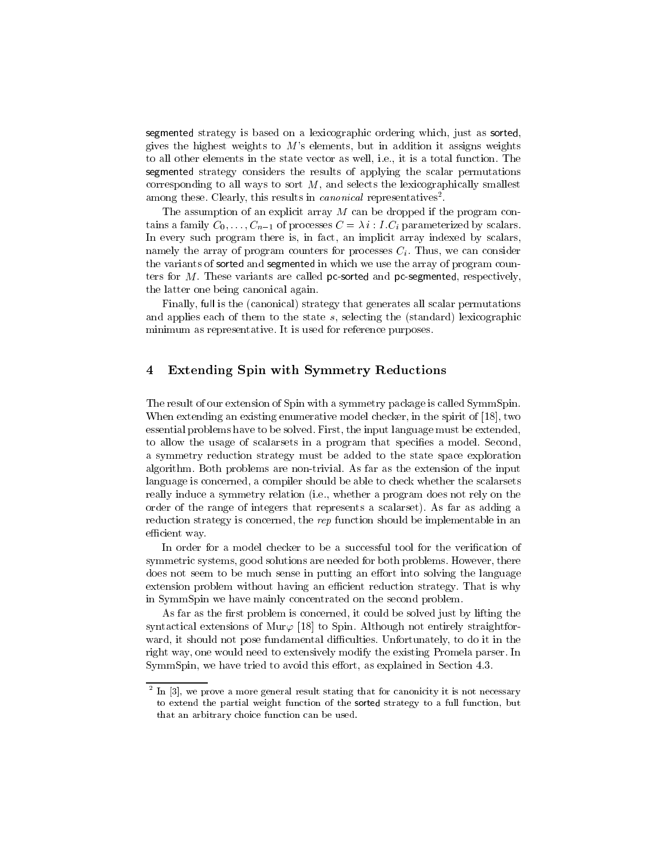segmented strategy is based on a lexicographic ordering which, just as sorted, gives the highest weights to  $M$ 's elements, but in addition it assigns weights to all other elements in the state vector as well, i.e., it is a total function. The segmented strategy considers the results of applying the scalar permutations corresponding to all ways to sort  $M$ , and selects the lexicographically smallest among these. Clearly, this results in *canonical* representatives.

The assumption of an explicit array  $M$  can be dropped if the program contains a family  $C_0,\ldots,C_{n-1}$  of processes  $C = \lambda i : I.C_i$  parameterized by scalars. In every such program there is, in fact, an implicit array indexed by scalars, namely the array of program counters for processes  $C_i$ . Thus, we can consider the variants of sorted and segmented in which we use the array of program counters for M. These variants are called pc-sorted and pc-segmented, respectively, the latter one being canonical again.

Finally, full is the (canonical) strategy that generates all scalar permutations and applies each of them to the state s, selecting the (standard) lexicographic minimum as representative. It is used for reference purposes.

### 4Extending Spin with Symmetry Reductions

The result of our extension of Spin with a symmetry package is called SymmSpin. When extending an existing enumerative model checker, in the spirit of [18], two essential problems have to be solved. First, the input language must be extended, to allow the usage of scalarsets in a program that specifies a model. Second, a symmetry reduction strategy must be added to the state space exploration algorithm. Both problems are non-trivial. As far as the extension of the input language is concerned, a compiler should be able to check whether the scalarsets really induce a symmetry relation (i.e., whether a program does not rely on the order of the range of integers that represents a scalarset). As far as adding a reduction strategy is concerned, the rep function should be implementable in an efficient way.

In order for a model checker to be a successful tool for the verification of symmetric systems, good solutions are needed for both problems. However, there does not seem to be much sense in putting an effort into solving the language extension problem without having an efficient reduction strategy. That is why in SymmSpin we have mainly concentrated on the second problem.

As far as the first problem is concerned, it could be solved just by lifting the syntactical extensions of Mur $\varphi$  [18] to Spin. Although not entirely straightforward, it should not pose fundamental difficulties. Unfortunately, to do it in the right way, one would need to extensively modify the existing Promela parser. In SymmSpin, we have tried to avoid this effort, as explained in Section 4.3.

<sup>2</sup> In [3], we prove a more general result stating that for canonicity it is not necessary to extend the partial weight function of the sorted strategy to a full function, but that an arbitrary choice function can be used.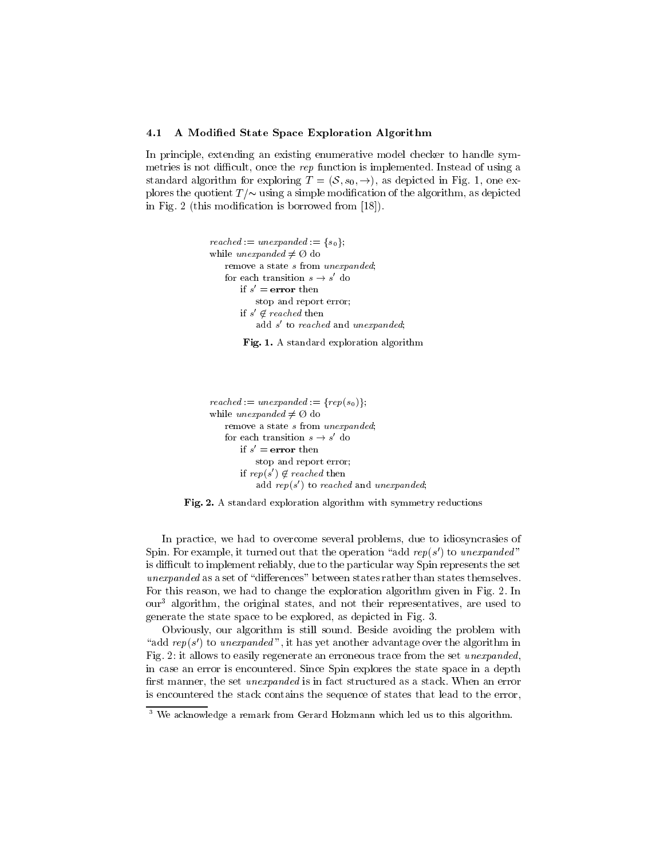## 4.1 A Modied State Space Exploration Algorithm

In principle, extending an existing enumerative model checker to handle symmetries is not difficult, once the rep function is implemented. Instead of using a standard algorithm for exploring  $T = (\mathcal{S}, s_0, \rightarrow)$ , as depicted in Fig. 1, one explores the quotient  $T/\sim$  using a simple modification of the algorithm, as depicted in Fig. 2 (this modication is borrowed from [18]).

```
reached := unexpanded := \{s_0\};while unexpanded \neq \emptyset do
   remove a state s from unexpanded;
    for each transition s \to s do
        \mathbf{u} \, s \, = \mathbf{error} \, \mathbf{t}stop and report error;
        \texttt{if } s \ \notin \textit{reacnea} \ \texttt{then}add s
0 to reached and unexpanded;
```
Fig. 1. A standard exploration algorithm

```
reached := unexpanded := \{rep(s_0)\};while unexpanded \neq \emptyset do
   remove a state s from unexpanded;
   for each transition s \to s do
          \sim \simstop and report error;
       if rep(s) \in reached then
          add rep(s
0) to reached and unexpanded;
```
### Fig. 2. A standard exploration algorithm with symmetry reductions

In practice, we had to overcome several problems, due to idiosyncrasies of Spin. For example, it turned out that the operation  $\alpha$  and  $rep(s)$  to unexpanded  $\alpha$ is difficult to implement reliably, due to the particular way Spin represents the set uneapanded as a set of  $\alpha$  and states in the state states rather than states the states than states them For this reason, we had to change the exploration algorithm given in Fig. 2. In our3 algorithm, the original states, and not their representatives, are used to generate the state space to be explored, as depicted in Fig. 3.

Obviously, our algorithm is still sound. Beside avoiding the problem with add  $rep(s)$  to unexpanded ), it has yet another advantage over the algorithm in Fig. 2: it allows to easily regenerate an erroneous trace from the set *unexpanded*, in case an error is encountered. Since Spin explores the state space in a depth first manner, the set *unexpanded* is in fact structured as a stack. When an error is encountered the stack contains the sequence of states that lead to the error,

<sup>3</sup> We acknowledge a remark from Gerard Holzmann which led us to this algorithm.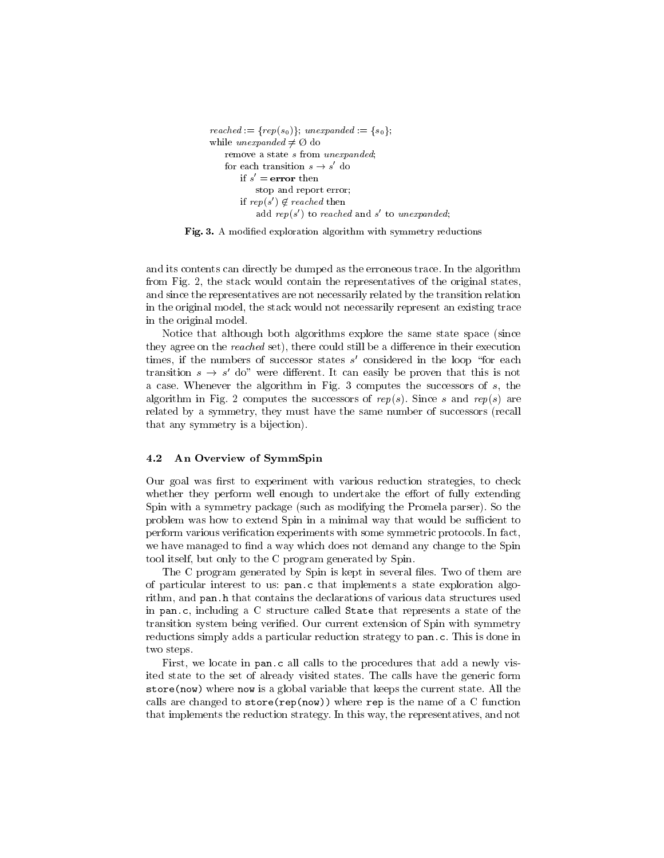```
reached := \{rep(s_0)\}; unexpanded := \{s_0\};while unexpanded \neq \emptyset do
   remove a state s from unexpanded;
   for each transition s \to s do
       \texttt{if } s = \texttt{error} \texttt{then}stop and report error;
       if rep(s) \in reached then
           add rep(s ) to reached and s-to-unexpanded;
```
Fig. 3. A modied exploration algorithm with symmetry reductions

and its contents can directly be dumped as the erroneous trace. In the algorithm from Fig. 2, the stack would contain the representatives of the original states, and since the representatives are not necessarily related by the transition relation in the original model, the stack would not necessarily represent an existing trace in the original model.

Notice that although both algorithms explore the same state space (since they agree on the *reached* set), there could still be a difference in their execution times, if the numbers of successor states  $s$  considered in the loop  $\bar{p}$  for each  $\bar{p}$ transition  $s \rightarrow s'$  do" were different. It can easily be proven that this is not a case. Whenever the algorithm in Fig. 3 computes the successors of s, the algorithm in Fig. 2 computes the successors of  $rep(s)$ . Since s and  $rep(s)$  are related by a symmetry, they must have the same number of successors (recall that any symmetry is a bijection).

#### 4.2 An Overview of SymmSpin

Our goal was first to experiment with various reduction strategies, to check whether they perform well enough to undertake the effort of fully extending Spin with a symmetry package (such as modifying the Promela parser). So the problem was how to extend Spin in a minimal way that would be sufficient to perform various verification experiments with some symmetric protocols. In fact, we have managed to find a way which does not demand any change to the Spin tool itself, but only to the C program generated by Spin.

The C program generated by Spin is kept in several files. Two of them are of particular interest to us: pan.c that implements a state exploration algorithm, and pan.h that contains the declarations of various data structures used in pan.c, including a C structure called State that represents a state of the transition system being verified. Our current extension of Spin with symmetry reductions simply adds a particular reduction strategy to pan. c. This is done in two steps.

First, we locate in pan.c all calls to the procedures that add a newly visited state to the set of already visited states. The calls have the generic form store(now) where now is a global variable that keeps the current state. All the calls are changed to store(rep(now)) where rep is the name of a C function that implements the reduction strategy. In this way, the representatives, and not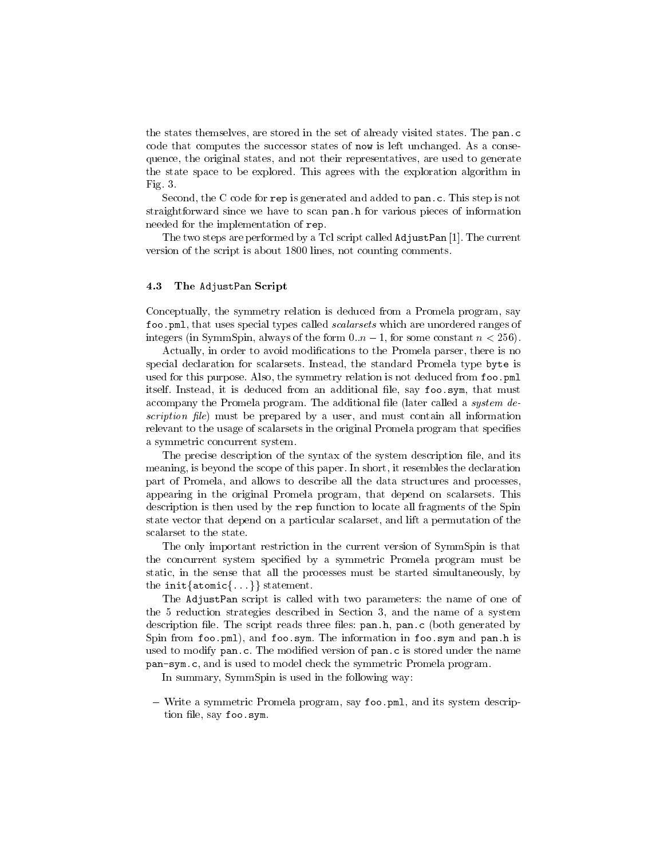the states themselves, are stored in the set of already visited states. The pan.c code that computes the successor states of now is left unchanged. As a consequence, the original states, and not their representatives, are used to generate the state space to be explored. This agrees with the exploration algorithm in Fig. 3.

Second, the C code for rep is generated and added to pan.c. This step is not straightforward since we have to scan pan.h for various pieces of information needed for the implementation of rep.

The two steps are performed by a Tcl script called AdjustPan [1]. The current version of the script is about 1800 lines, not counting comments.

## 4.3 The AdjustPan Script

Conceptually, the symmetry relation is deduced from a Promela program, say foo.pml, that uses special types called scalarsets which are unordered ranges of integers (in SymmSpin, always of the form  $0..n-1$ , for some constant  $n < 256$ ).

Actually, in order to avoid modifications to the Promela parser, there is no special declaration for scalarsets. Instead, the standard Promela type byte is used for this purpose. Also, the symmetry relation is not deduced from foo.pml itself. Instead, it is deduced from an additional file, say foo.sym, that must accompany the Promela program. The additional file (later called a *system de*scription file) must be prepared by a prepared by a user, all information all informations all informations of relevant to the usage of scalarsets in the original Promela program that specifies a symmetric concurrent system.

The precise description of the syntax of the system description file, and its meaning, is beyond the scope of this paper. In short, it resembles the declaration part of Promela, and allows to describe all the data structures and processes, appearing in the original Promela program, that depend on scalarsets. This description is then used by the rep function to locate all fragments of the Spin state vector that depend on a particular scalarset, and lift a permutation of the scalarset to the state.

The only important restriction in the current version of SymmSpin is that the concurrent system specied by a symmetric Promela program must be static, in the sense that all the processes must be started simultaneously, by the init $\{atomic\}$ ...} statement.

The AdjustPan script is called with two parameters: the name of one of the 5 reduction strategies described in Section 3, and the name of a system description file. The script reads three files: pan.h, pan.c (both generated by Spin from foo.pml), and foo.sym. The information in foo.sym and pan.h is used to modify pan.c. The modified version of pan.c is stored under the name pan-sym.c, and is used to model check the symmetric Promela program.

In summary, SymmSpin is used in the following way:

{ Write a symmetric Promela program, say foo.pml, and its system description file, say foo.sym.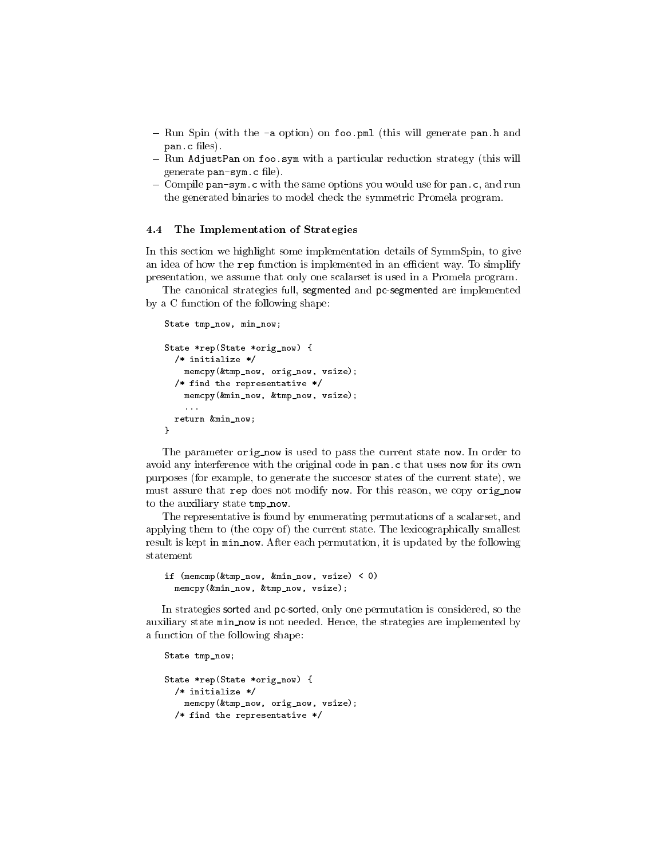- { Run Spin (with the -a option) on foo.pml (this will generate pan.h and pan.c files).
- Run AdjustPan on foo.sym with a particular reduction strategy (this will generate pan-sym.c file).
- Compile pan-sym.c with the same options you would use for pan.c, and run the generated binaries to model check the symmetric Promela program.

#### 4.4 The Implementation of Strategies

In this section we highlight some implementation details of SymmSpin, to give an idea of how the rep function is implemented in an efficient way. To simplify presentation, we assume that only one scalarset is used in a Promela program.

The canonical strategies full, segmented and pc-segmented are implemented by a C function of the following shape:

```
State tmp_now, min_now;
State *rep(State *orig_now) {
 /* initialize */
    memcpy(&tmp_now, orig_now, vsize);
  /* find the representative */
    memcpy(&min_now, &tmp_now, vsize);
    ...
 return &min_now;
}
```
The parameter orig now is used to pass the current state now. In order to avoid any interference with the original code in pan.c that uses now for its own purposes (for example, to generate the succesor states of the current state), we must assure that rep does not modify now. For this reason, we copy orig now to the auxiliary state tmp now.

The representative is found by enumerating permutations of a scalarset, and applying them to (the copy of ) the current state. The lexicographically smallest result is kept in min\_now. After each permutation, it is updated by the following

```
if (memcmp(&tmp_now, &min_now, vsize) < 0)
  memcpy(&min_now, &tmp_now, vsize);
```
In strategies sorted and pc-sorted, only one permutation is considered, so the auxiliary state min\_now is not needed. Hence, the strategies are implemented by a function of the following shape:

```
State tmp_now;
State *rep(State *orig_now) {
 /* initialize */
    memcpy(&tmp_now, orig_now, vsize);
  /* find the representative */
```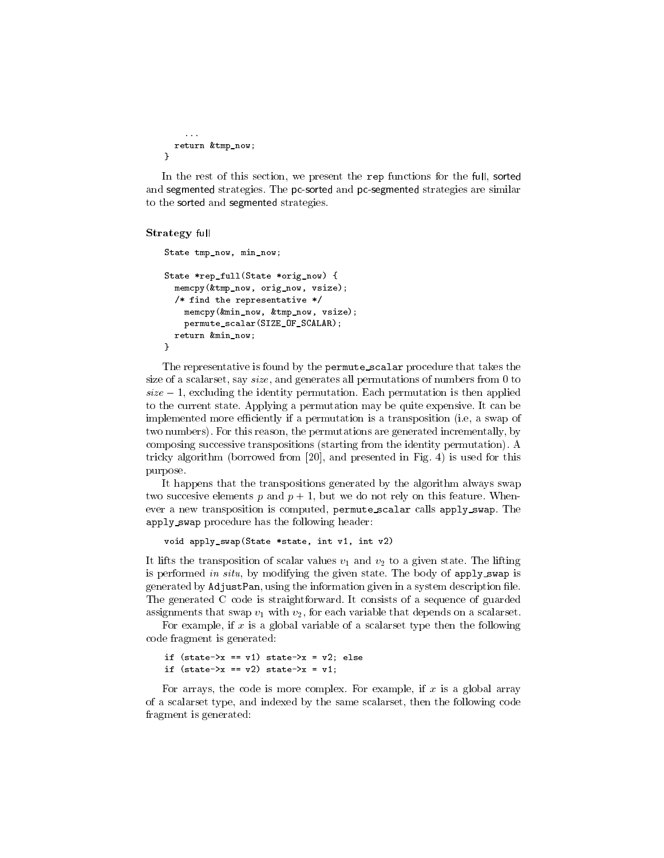```
return &tmp_now;
}
```
In the rest of this section, we present the rep functions for the full, sorted and segmented strategies. The pc-sorted and pc-segmented strategies are similar to the sorted and segmented strategies.

## Strategy full

```
State tmp_now, min_now;
State *rep_full(State *orig_now) {
 memcpy(&tmp_now, orig_now, vsize);
  /* find the representative */
   memcpy(&min_now, &tmp_now, vsize);
   permute_scalar(SIZE_OF_SCALAR);
 return &min_now;
}
```
The representative is found by the permute scalar procedure that takes the size of a scalarset, say size , and generates all permutations of numbers from 0 to  $size = 1$ , excluding the identity permutation. Each permutation is then applied to the current state. Applying a permutation may be quite expensive. It can be implemented more efficiently if a permutation is a transposition (i.e, a swap of two numbers). For this reason, the permutations are generated incrementally, by composing successive transpositions (starting from the identity permutation). A tricky algorithm (borrowed from [20], and presented in Fig. 4) is used for this purpose.

It happens that the transpositions generated by the algorithm always swap two succesive elements p and  $p + 1$ , but we do not rely on this feature. Whenever a new transposition is computed, permute scalar calls apply swap. The apply swap procedure has the following header:

void apply\_swap(State \*state, int v1, int v2)

It lifts the transposition of scalar values  $v_1$  and  $v_2$  to a given state. The lifting is performed in situ, by modifying the given state. The body of apply\_swap is generated by AdjustPan, using the information given in a system description file. The generated C code is straightforward. It consists of a sequence of guarded assignments that swap  $v_1$  with  $v_2$ , for each variable that depends on a scalarset.

For example, if  $x$  is a global variable of a scalarset type then the following code fragment is generated:

if (state- $>x == v1$ ) state- $>x = v2$ ; else if (state->x ==  $v2$ ) state->x =  $v1$ ;

For arrays, the code is more complex. For example, if  $x$  is a global array of a scalarset type, and indexed by the same scalarset, then the following code fragment is generated: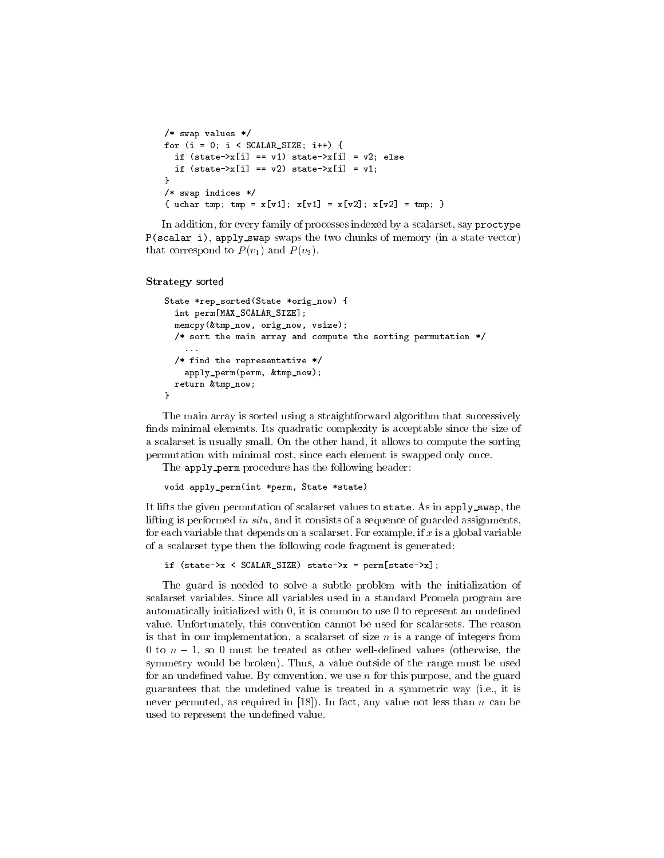```
/* swap values */
for (i = 0; i < SCALAR_SIZE; i++) {
  if (\text{state} \rightarrow x[i] == v1) state-\ge x[i] = v2; else
  if (\text{state} \rightarrow x[i] == v2) state-\rightarrow x[i] = v1;ι
}
/* swap indices */
{ uchar tmp; tmp = x[v1]; x[v1] = x[v2]; x[v2] = tmp; }
```
In addition, for every family of processes indexed by a scalarset, say proctype P(scalar i), apply swap swaps the two chunks of memory (in a state vector) that correspond to  $P(v_1)$  and  $P(v_2)$ .

### Strategy sorted

```
State *rep_sorted(State *orig_now) {
  int perm[MAX_SCALAR_SIZE];
  memcpy(&tmp_now, orig_now, vsize);
  /* sort the main array and compute the sorting permutation */
  /* find the representative */
   apply_perm(perm, &tmp_now);
 return &tmp_now;
ł
}
```
The main array is sorted using a straightforward algorithm that successively finds minimal elements. Its quadratic complexity is acceptable since the size of a scalarset is usually small. On the other hand, it allows to compute the sorting permutation with minimal cost, since each element is swapped only once.

The apply\_perm procedure has the following header:

```
void apply_perm(int *perm, State *state)
```
It lifts the given permutation of scalarset values to state. As in apply swap, the lifting is performed in situ, and it consists of a sequence of guarded assignments, for each variable that depends on a scalarset. For example, if  $x$  is a global variable of a scalarset type then the following code fragment is generated:

if (state->x < SCALAR\_SIZE) state->x = perm[state->x];

The guard is needed to solve a subtle problem with the initialization of scalarset variables. Since all variables used in a standard Promela program are automatically initialized with  $0$ , it is common to use  $0$  to represent an undefined value. Unfortunately, this convention cannot be used for scalarsets. The reason is that in our implementation, a scalarset of size  $n$  is a range of integers from 0 to  $n-1$ , so 0 must be treated as other well-defined values (otherwise, the symmetry would be broken). Thus, a value outside of the range must be used for an undefined value. By convention, we use  $n$  for this purpose, and the guard guarantees that the undefined value is treated in a symmetric way (i.e., it is never permuted, as required in  $[18]$ . In fact, any value not less than n can be used to represent the undefined value.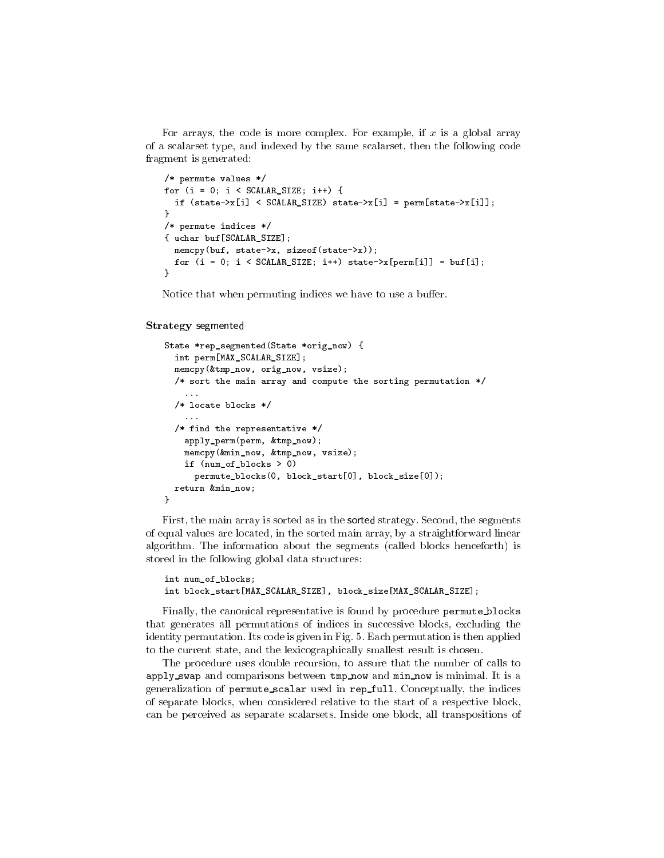For arrays, the code is more complex. For example, if  $x$  is a global array of a scalarset type, and indexed by the same scalarset, then the following code fragment is generated:

```
/* permute values */
for (i = 0; i < SCALAR_SIZE; i++) {
  if (\text{state} \rightarrow x[i] \leq \text{SCALAR\_SIZE}) state-\geq x[i] = \text{perm}[\text{state} \rightarrow x[i]];
}
/* permute indices */
{ uchar buf[SCALAR_SIZE];
  memcpy(buf, state->x, sizeof(state->x));
  for (i = 0; i < SCALAR\_SIZE; i++) state->x[perm[i]] = bur[i];}
```
Notice that when permuting indices we have to use a buffer.

### Strategy segmented

```
State *rep_segmented(State *orig_now) {
  int perm[MAX_SCALAR_SIZE];
  memcpy(&tmp_now, orig_now, vsize);
  /* sort the main array and compute the sorting permutation */
    ...
  /* locate blocks */
   ...
  /* find the representative */
    apply_perm(perm, &tmp_now);
    memcpy(&min_now, &tmp_now, vsize);
    if (num_of_blocks > 0)
     permute_blocks(0, block_start[0], block_size[0]);
 return &min_now;
}
```
First, the main array is sorted as in the sorted strategy. Second, the segments of equal values are located, in the sorted main array, by a straightforward linear algorithm. The information about the segments (called blocks henceforth) is stored in the following global data structures:

```
int num_of_blocks;
int block_start[MAX_SCALAR_SIZE], block_size[MAX_SCALAR_SIZE];
```
Finally, the canonical representative is found by procedure permute blocks that generates all permutations of indices in successive blocks, excluding the identity permutation. Its code is given in Fig. 5. Each permutation is then applied to the current state, and the lexicographically smallest result is chosen.

The procedure uses double recursion, to assure that the number of calls to apply swap and comparisons between tmp now and min now is minimal. It is a generalization of permute scalar used in rep full. Conceptually, the indices of separate blocks, when considered relative to the start of a respective block, can be perceived as separate scalarsets. Inside one block, all transpositions of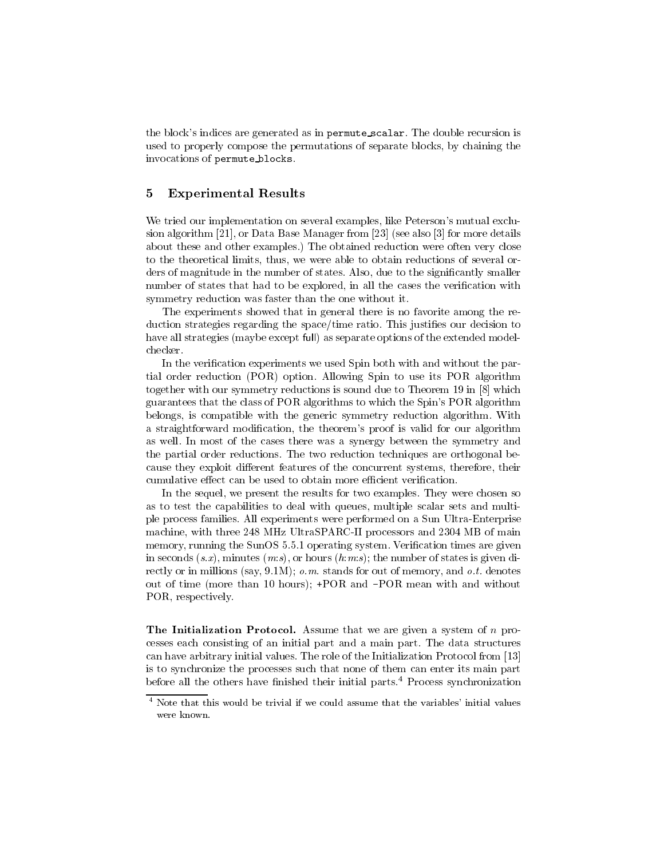the block's indices are generated as in permute scalar. The double recursion is used to properly compose the permutations of separate blocks, by chaining the invocations of permute blocks.

### 5Experimental Results

We tried our implementation on several examples, like Peterson's mutual exclusion algorithm [21], or Data Base Manager from [23] (see also [3] for more details about these and other examples.) The obtained reduction were often very close to the theoretical limits, thus, we were able to obtain reductions of several orders of magnitude in the number of states. Also, due to the significantly smaller number of states that had to be explored, in all the cases the verification with symmetry reduction was faster than the one without it.

The experiments showed that in general there is no favorite among the reduction strategies regarding the space/time ratio. This justies our decision to have all strategies (maybe except full) as separate options of the extended modelchecker.

In the verification experiments we used Spin both with and without the partial order reduction (POR) option. Allowing Spin to use its POR algorithm together with our symmetry reductions is sound due to Theorem 19 in [8] which guarantees that the class of POR algorithms to which the Spin's POR algorithm belongs, is compatible with the generic symmetry reduction algorithm. With a straightforward modication, the theorem's proof is valid for our algorithm as well. In most of the cases there was a synergy between the symmetry and the partial order reductions. The two reduction techniques are orthogonal because they exploit different features of the concurrent systems, therefore, their cumulative effect can be used to obtain more efficient verification.

In the sequel, we present the results for two examples. They were chosen so as to test the capabilities to deal with queues, multiple scalar sets and multiple process families. All experiments were performed on a Sun Ultra-Enterprise machine, with three 248 MHz UltraSPARC-II processors and 2304 MB of main memory, running the SunOS 5.5.1 operating system. Verification times are given in seconds  $(s, x)$ , minutes  $(m, s)$ , or hours  $(h, m, s)$ ; the number of states is given directly or in millions (say, 9.1M);  $\rho.m.$  stands for out of memory, and  $\rho.t.$  denotes out of time (more than 10 hours); +POR and -POR mean with and without POR, respectively.

The Initialization Protocol. Assume that we are given a system of  $n$  processes each consisting of an initial part and a main part. The data structures can have arbitrary initial values. The role of the Initialization Protocol from [13] is to synchronize the processes such that none of them can enter its main part before all the others have finished their initial parts.<sup>4</sup> Process synchronization

<sup>4</sup> Note that this would be trivial if we could assume that the variables' initial values were known.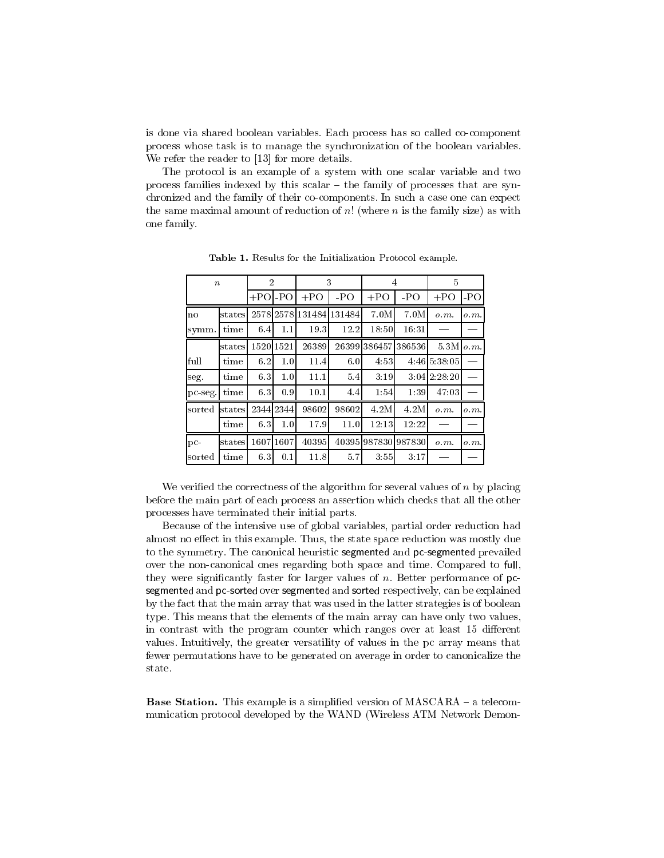is done via shared boolean variables. Each process has so called co-component process whose task is to manage the synchronization of the boolean variables. We refer the reader to [13] for more details.

The protocol is an example of a system with one scalar variable and two process families indexed by this scalar  $-$  the family of processes that are synchronized and the family of their co-components. In such a case one can expect the same maximal amount of reduction of  $n!$  (where n is the family size) as with one family.

| $\boldsymbol{n}$ |         | $\overline{2}$ |                  | 3     |                         | 4     |                     | 5             |       |
|------------------|---------|----------------|------------------|-------|-------------------------|-------|---------------------|---------------|-------|
|                  |         | $+POLPO$       |                  | $+PO$ | $-PO$                   | $+PO$ | $-PO$               | $+PO$         | $-PO$ |
| no               | statesI |                |                  |       | 2578 2578 131484 131484 | 7.0M  | 7.0M                | o.m.          | o.m.  |
| symm.            | time    | 6.4            | 1.1              | 19.3  | 12.2                    | 18:50 | 16:31               |               |       |
|                  | states  | 1520 1521      |                  | 26389 |                         |       | 26399 386457 386536 | 5.3M          | o.m.  |
| lfull            | time    | 6.2            | 1.0              | 11.4  | 6.0                     | 4:53  |                     | 4:46[5:38:05] |       |
| seg.             | time    | 6.3            | 1.0              | 11.1  | 5.4                     | 3:19  |                     | 3:0412:28:20  |       |
| pc-seg.          | time    | 6.3            | 0.9 <sub>l</sub> | 10.1  | 4.4                     | 1:54  | 1:39                | 47:03         |       |
| sorted           | states  |                | 2344 2344        | 98602 | 98602                   | 4.2M  | 4.2M                | o.m.          | o.m.  |
|                  | time    | 6.3            | 1.0 <sub>l</sub> | 17.9  | 11.0                    | 12:13 | 12:22               |               |       |
| pc-              | states  |                | 1607 1607        | 40395 |                         |       | 40395 987830 987830 | o.m.          | o.m.  |
| sorted           | time    | 6.3            | 0.1              | 11.8  | 5.7                     | 3.55  | 3:17                |               |       |

Table 1. Results for the Initialization Protocol example.

We verified the correctness of the algorithm for several values of  $n$  by placing before the main part of each process an assertion which checks that all the other processes have terminated their initial parts.

Because of the intensive use of global variables, partial order reduction had almost no effect in this example. Thus, the state space reduction was mostly due to the symmetry. The canonical heuristic segmented and pc-segmented prevailed over the non-canonical ones regarding both space and time. Compared to full, they were significantly faster for larger values of  $n$ . Better performance of pcsegmented and pc-sorted over segmented and sorted respectively, can be explained by the fact that the main array that was used in the latter strategies is of boolean type. This means that the elements of the main array can have only two values, in contrast with the program counter which ranges over at least 15 different values. Intuitively, the greater versatility of values in the pc array means that fewer permutations have to be generated on average in order to canonicalize the state.

**Base Station.** This example is a simplified version of  $MASCARA - a$  telecommunication protocol developed by the WAND (Wireless ATM Network Demon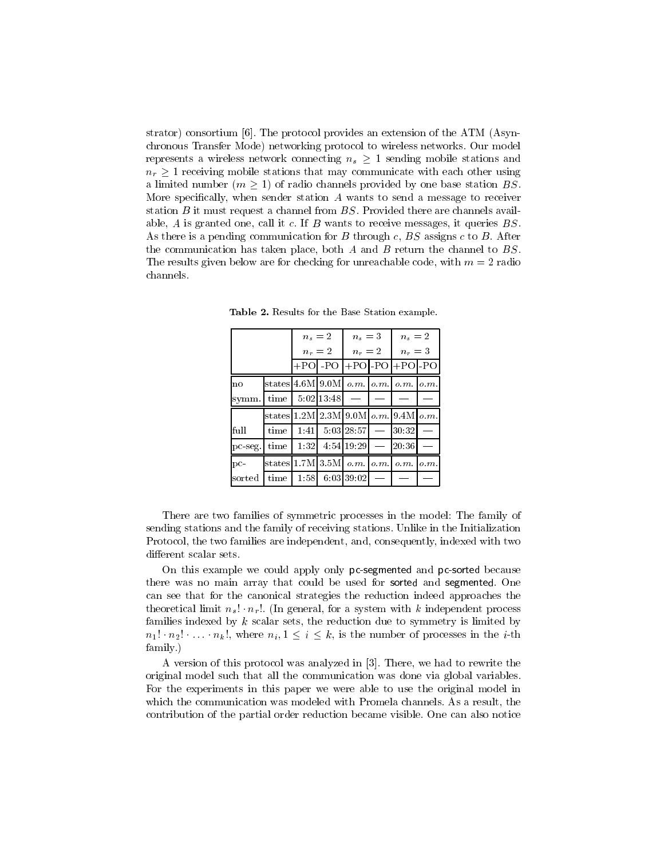strator) consortium [6]. The protocol provides an extension of the ATM (Asynchronous Transfer Mode) networking protocol to wireless networks. Our model represents a wireless network connecting  $n_s \geq 1$  sending mobile stations and  $n_r \geq 1$  receiving mobile stations that may communicate with each other using a limited number  $(m \geq 1)$  of radio channels provided by one base station BS. More specifically, when sender station  $A$  wants to send a message to receiver station B it must request a channel from BS. Provided there are channels available,  $A$  is granted one, call it  $c$ . If  $B$  wants to receive messages, it queries  $BS$ . As there is a pending communication for B through c,  $BS$  assigns c to B. After the communication has taken place, both  $A$  and  $B$  return the channel to  $BS$ . The results given below are for checking for unreachable code, with  $m = 2$  radio channels.

 $n_s = 2 \quad | \quad n_s = 3 \quad | \quad n_s = 2$  $= 2 \, | \, n_r = 2 \, | \, n_r = 3$  $\overline{n}$  $n_r$ +PO -PO +PO -PO +PO -PO no  $_{\rm state}$  $4.6M$ 9.0M  $o.m.$  $o.m$  $o.m$  $^{o.m.}$ no states 4.6M 9.0M o.m. o.m. o.m. o.m. symm. time 5:02 13:48 | | | |  $\mathrm{states} [1.2\mathrm{M} | 2.3\mathrm{M} | 9.0\mathrm{M} | o.m. | 9.4\mathrm{M} | o.m.$ full time  $1:41$  such that  $1:53$  and  $1:57$   $\ldots$   $1:32$   $\ldots$   $1:32$   $\ldots$   $1:32$   $\ldots$   $1:32$   $\ldots$   $1:32$   $\ldots$   $1:32$   $\ldots$   $1:32$   $\ldots$   $1:32$   $\ldots$   $1:32$   $\ldots$   $1:32$   $\ldots$   $1:32$   $\ldots$   $1:32$   $\ldots$   $1:32$   $\ldots$  pc-seg. time 1:32 4:54 19:29 | 20:36 | 20:37 | 20:37 | 20:37 | 20:36 | 20:37 | 20:37 | 20:37 | 20:37 | 20:37 |  $\overline{D}C$ state  $o.m.$  $\sigma$ . $m$  $o.m.$ pc- states 1.7M 3.5M o.m. o.m. o.m. o.m. sorted time 1:58 6:03 39:03 39:03 39:03 39:03 39:03 39:03 39:03 39:03 39:03 39:03 39:03 39:03 39:03 39:03 39:0

Table 2. Results for the Base Station example.

There are two families of symmetric processes in the model: The family of sending stations and the family of receiving stations. Unlike in the Initialization Protocol, the two families are independent, and, consequently, indexed with two different scalar sets.

On this example we could apply only pc-segmented and pc-sorted because there was no main array that could be used for sorted and segmented. One can see that for the canonical strategies the reduction indeed approaches the theoretical limit  $n_s! \cdot n_r!$ . (In general, for a system with k independent process families indexed by  $k$  scalar sets, the reduction due to symmetry is limited by  $n_1! \cdot n_2! \cdot \ldots \cdot n_k!$ , where  $n_i, 1 \leq i \leq k$ , is the number of processes in the *i*-th family.)

A version of this protocol was analyzed in [3]. There, we had to rewrite the original model such that all the communication was done via global variables. For the experiments in this paper we were able to use the original model in which the communication was modeled with Promela channels. As a result, the contribution of the partial order reduction became visible. One can also notice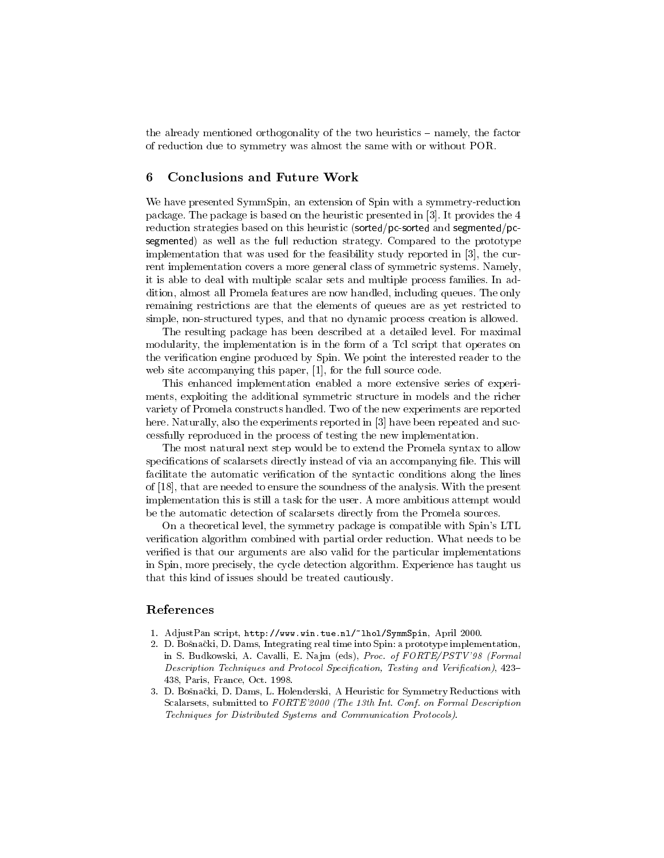the already mentioned orthogonality of the two heuristics  $-$  namely, the factor of reduction due to symmetry was almost the same with or without POR.

### 6Conclusions and Future Work

We have presented SymmSpin, an extension of Spin with a symmetry-reduction package. The package is based on the heuristic presented in [3]. It provides the 4 reduction strategies based on this heuristic (sorted/pc-sorted and segmented/pcsegmented) as well as the full reduction strategy. Compared to the prototype implementation that was used for the feasibility study reported in [3], the current implementation covers a more general class of symmetric systems. Namely, it is able to deal with multiple scalar sets and multiple process families. In addition, almost all Promela features are now handled, including queues. The only remaining restrictions are that the elements of queues are as yet restricted to simple, non-structured types, and that no dynamic process creation is allowed.

The resulting package has been described ata detailed level. For maximal modularity, the implementation is in the form of a Tcl script that operates on the verification engine produced by Spin. We point the interested reader to the web site accompanying this paper, [1], for the full source code.

This enhanced implementation enabled a more extensive series of experiments, exploiting the additional symmetric structure in models and the richer variety of Promela constructs handled. Two of the new experiments are reported here. Naturally, also the experiments reported in [3] have been repeated and successfully reproduced in the process of testing the new implementation.

The most natural next step would be to extend the Promela syntax to allow specifications of scalarsets directly instead of via an accompanying file. This will facilitate the automatic verification of the syntactic conditions along the lines of [18], that are needed to ensure the soundness of the analysis. With the present implementation this is still a task for the user. A more ambitious attempt would be the automatic detection of scalarsets directly from the Promela sources.

On a theoretical level, the symmetry package is compatible with Spin's LTL verification algorithm combined with partial order reduction. What needs to be veried is that our arguments are also valid for the particular implementations in Spin, more precisely, the cycle detection algorithm. Experience has taught us that this kind of issues should be treated cautiously.

- 1. AdjustPan script, http://www.win.tue.nl/~lhol/SymmSpin, April 2000.
- 2. D. Bosnacki, D. Dams, Integrating real time into Spin: a prototype implementation, in S. Budkowski, A. Cavalli, E. Najm (eds), Proc. of FORTE/PSTV'98 (Formal Description Techniques and Protocol Specification, Testing and Verification), 423– 438, Paris, France, Oct. 1998.
- 3. D. Bosnacki, D. Dams, L. Holenderski, A Heuristic for Symmetry Reductions with Scalarsets, submitted to FORTE'2000 (The 13th Int. Conf. on Formal Description Techniques for Distributed Systems and Communication Protocols).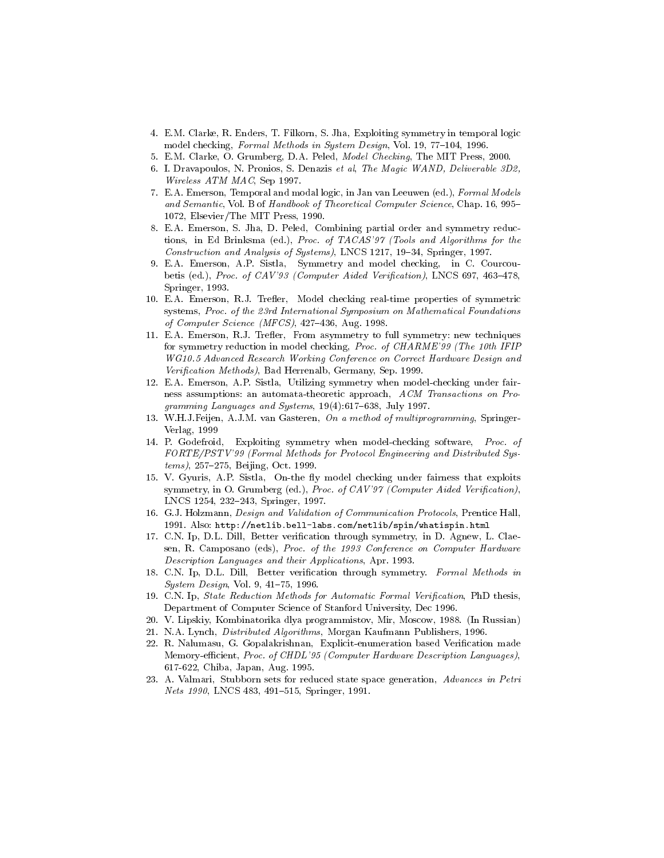- 4. E.M. Clarke, R. Enders, T. Filkorn, S. Jha, Exploiting symmetry in temporal logic model checking, Formal Methods in System Design, Vol. 19, 77-104, 1996.
- 5. E.M. Clarke, O. Grumberg, D.A. Peled, Model Checking, The MIT Press, 2000.
- 6. I. Dravapoulos, N. Pronios, S. Denazis et al, The Magic WAND, Deliverable 3D2, Wireless ATM MAC, Sep 1997.
- 7. E.A. Emerson, Temporal and modal logic, in Jan van Leeuwen (ed.), Formal Models and Semantic, Vol. B of Handbook of Theoretical Computer Science, Chap. 16, 995-1072, Elsevier/The MIT Press, 1990.
- 8. E.A. Emerson, S. Jha, D. Peled, Combining partial order and symmetry reductions, in Ed Brinksma (ed.), Proc. of TACAS'97 (Tools and Algorithms for the Construction and Analysis of Systems), LNCS 1217, 19-34, Springer, 1997.
- 9. E.A. Emerson, A.P. Sistla, Symmetry and model checking, in C. Courcoubetis (ed.), Proc. of CAV'93 (Computer Aided Verification), LNCS 697, 463-478, Springer, 1993.
- 10. E.A. Emerson, R.J. Trefler, Model checking real-time properties of symmetric systems, Proc. of the 23rd International Symposium on Mathematical Foundations of Computer Science (MFCS),  $427-436$ , Aug. 1998.
- 11. E.A. Emerson, R.J. Trefler, From asymmetry to full symmetry: new techniques for symmetry reduction in model checking, Proc. of CHARME'99 (The 10th IFIP WG10.5 Advanced Research Working Conference on Correct Hardware Design and Verification Methods), Bad Herrenalb, Germany, Sep. 1999.
- 12. E.A. Emerson, A.P. Sistla, Utilizing symmetry when model-checking under fair ness assumptions: an automata-theoretic approach, ACM Transactions on Pro gramming Languages and Systems,  $19(4):617-638$ , July 1997.
- 13. W.H.J.Feijen, A.J.M. van Gasteren, On a method of multiprogramming, Springer-Verlag, 1999
- 14. P. Godefroid, Exploiting symmetry when model-checking software, Proc. of FORTE/PSTV'99 (Formal Methods for Protocol Engineering and Distributed Sys $tems$ , 257-275, Beijing, Oct. 1999.
- 15. V. Gyuris, A.P. Sistla, On-the fly model checking under fairness that exploits symmetry, in O. Grumberg (ed.), Proc. of CAV'97 (Computer Aided Verification), LNCS 1254, 232-243, Springer, 1997.
- 16. G.J. Holzmann, Design and Validation of Communication Protocols, Prentice Hall, 1991. Also: http://netlib.bell-labs.com/netlib/spin/whatispin.html
- 17. C.N. Ip, D.L. Dill, Better verication through symmetry, in D. Agnew, L. Claesen, R. Camposano (eds), Proc. of the 1993 Conference on Computer Hardware Description Languages and their Applications, Apr. 1993.
- 18. C.N. Ip, D.L. Dill, Better verification through symmetry. Formal Methods in  $System$  Design, Vol. 9, 41-75, 1996.
- 19. C.N. Ip, State Reduction Methods for Automatic Formal Verification, PhD thesis, Department of Computer Science of Stanford University, Dec 1996.
- 20. V. Lipskiy, Kombinatorika dlya programmistov, Mir, Moscow, 1988. (In Russian)
- 21. N.A. Lynch, Distributed Algorithms, Morgan Kaufmann Publishers, 1996.
- 22. R. Nalumasu, G. Gopalakrishnan, Explicit-enumeration based Verification made Memory-efficient, Proc. of CHDL'95 (Computer Hardware Description Languages), 617-622, Chiba, Japan, Aug. 1995.
- 23. A. Valmari, Stubborn sets for reduced state space generation, Advances in Petri Nets 1990, LNCS 483, 491-515, Springer, 1991.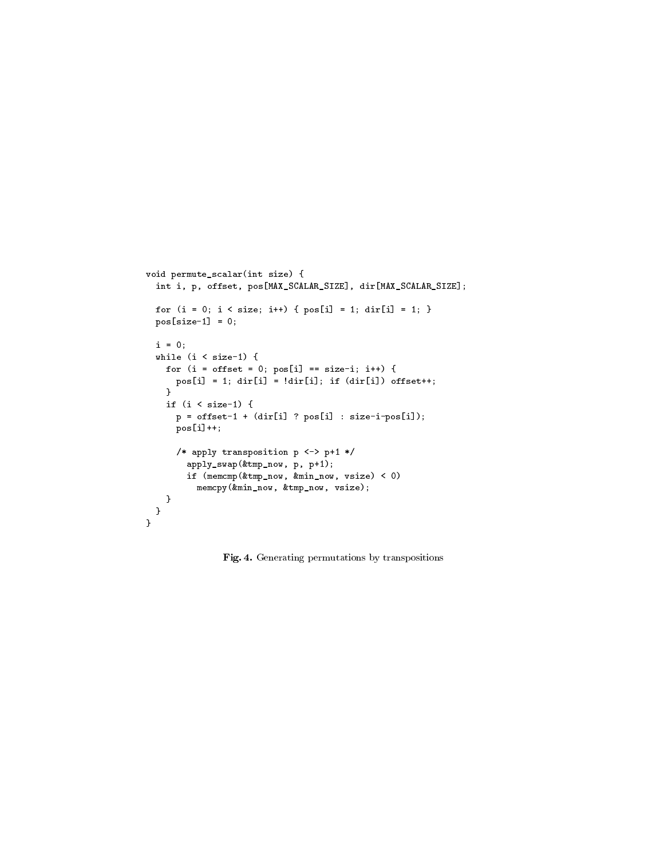```
void permute_scalar(int size) {
  int i, p, offset, pos[MAX_SCALAR_SIZE], dir[MAX_SCALAR_SIZE];
  for (i = 0; i < size; i++) { pos[i] = 1; dir[i] = 1; }
  pos[size-1] = 0;
  i = 0;while (i < size-1) {
    for (i = offset = 0; pos[i] == size-i; i++) {
      pos[i] = 1; dir[i] = !dir[i]; if (dir[i]) of fset++;}
    if (i < size-1) {
      p = \text{offset-1} + (\text{dir}[i] ? \text{pos}[i] : \text{size-i-pos}[i]);pos[i]++;
      /* apply transposition p <-> p+1 */
        apply_swap(&tmp_now, p, p+1);
        if (memcmp(&tmp_now, &min_now, vsize) < 0)
          memcpy(&min_now, &tmp_now, vsize);
    }
 }
}
```
Fig. 4. Generating permutations by transpositions